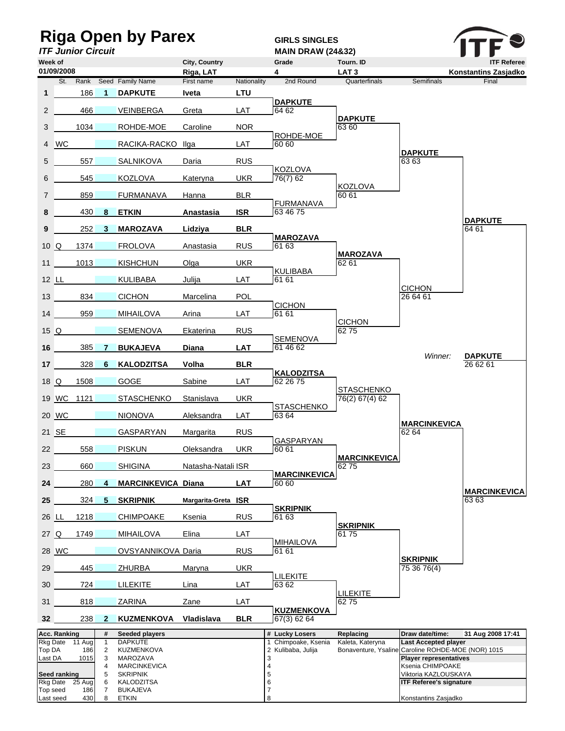| <b>Riga Open by Parex</b><br><b>ITF Junior Circuit</b> |              |               |                                         |                                        |                     |             | <b>GIRLS SINGLES</b><br><b>MAIN DRAW (24&amp;32)</b> |                              |                                                                                   |                             |  |
|--------------------------------------------------------|--------------|---------------|-----------------------------------------|----------------------------------------|---------------------|-------------|------------------------------------------------------|------------------------------|-----------------------------------------------------------------------------------|-----------------------------|--|
| Week of                                                |              |               |                                         |                                        | City, Country       |             | Grade                                                | Tourn. ID                    |                                                                                   | <b>ITF Referee</b>          |  |
|                                                        | 01/09/2008   |               |                                         |                                        | Riga, LAT           |             | 4                                                    | LAT <sub>3</sub>             |                                                                                   | Konstantins Zasjadko        |  |
|                                                        | St.          | Rank          |                                         | Seed Family Name                       | First name          | Nationality | 2nd Round                                            | Quarterfinals                | <b>Semifinals</b>                                                                 | Final                       |  |
| $\mathbf{1}$                                           |              | 186           | $\blacktriangleleft$                    | <b>DAPKUTE</b>                         | Iveta               | <b>LTU</b>  | <b>DAPKUTE</b>                                       |                              |                                                                                   |                             |  |
| $\overline{2}$                                         |              | 466           |                                         | <b>VEINBERGA</b>                       | Greta               | LAT         | 64 62                                                | <b>DAPKUTE</b>               |                                                                                   |                             |  |
| 3                                                      |              | 1034          |                                         | ROHDE-MOE                              | Caroline            | <b>NOR</b>  | ROHDE-MOE                                            | 63 60                        |                                                                                   |                             |  |
|                                                        | 4 WC         |               |                                         | RACIKA-RACKO Ilga                      |                     | LAT         | 60 60                                                |                              |                                                                                   |                             |  |
| 5                                                      |              | 557           |                                         | <b>SALNIKOVA</b>                       | Daria               | <b>RUS</b>  |                                                      |                              | <b>DAPKUTE</b><br>63 63                                                           |                             |  |
| 6                                                      |              | 545           |                                         | <b>KOZLOVA</b>                         | Kateryna            | <b>UKR</b>  | <b>KOZLOVA</b><br>76(7) 62                           |                              |                                                                                   |                             |  |
| $\overline{7}$                                         |              | 859           |                                         | <b>FURMANAVA</b>                       | Hanna               | <b>BLR</b>  |                                                      | <b>KOZLOVA</b><br>60 61      |                                                                                   |                             |  |
| 8                                                      |              | 430           | 8                                       | <b>ETKIN</b>                           | Anastasia           | <b>ISR</b>  | <b>FURMANAVA</b><br>63 46 75                         |                              |                                                                                   |                             |  |
| 9                                                      |              | 252           | 3                                       | <b>MAROZAVA</b>                        | Lidziya             | <b>BLR</b>  |                                                      |                              |                                                                                   | <b>DAPKUTE</b><br>64 61     |  |
| 10Q                                                    |              | 1374          |                                         | <b>FROLOVA</b>                         | Anastasia           | <b>RUS</b>  | <b>MAROZAVA</b><br>61 63                             |                              |                                                                                   |                             |  |
| 11                                                     |              | 1013          |                                         | <b>KISHCHUN</b>                        | $O$ lga             | <b>UKR</b>  |                                                      | <b>MAROZAVA</b><br>62 61     |                                                                                   |                             |  |
|                                                        |              |               |                                         |                                        |                     |             | <b>KULIBABA</b><br>61 61                             |                              |                                                                                   |                             |  |
|                                                        | 12 LL        |               |                                         | <b>KULIBABA</b>                        | Julija              | LAT         |                                                      |                              | <b>CICHON</b>                                                                     |                             |  |
| 13 <sup>13</sup>                                       |              | 834           |                                         | <b>CICHON</b>                          | Marcelina           | <b>POL</b>  | <b>CICHON</b>                                        |                              | 26 64 61                                                                          |                             |  |
|                                                        | 14           | 959           |                                         | <b>MIHAILOVA</b>                       | Arina               | LAT         | 6161                                                 | <b>CICHON</b>                |                                                                                   |                             |  |
| 15Q                                                    |              |               |                                         | <b>SEMENOVA</b>                        | Ekaterina           | <b>RUS</b>  | <b>SEMENOVA</b>                                      | 6275                         |                                                                                   |                             |  |
|                                                        | 16           | 385           | <b>7</b>                                | <b>BUKAJEVA</b>                        | <b>Diana</b>        | <b>LAT</b>  | 61 46 62                                             |                              | Winner:                                                                           | <b>DAPKUTE</b>              |  |
|                                                        | 17           | 328           | 6                                       | <b>KALODZITSA</b>                      | Volha               | <b>BLR</b>  |                                                      |                              |                                                                                   | 26 62 61                    |  |
| 18Q                                                    |              | 1508          |                                         | GOGE                                   | Sabine              | LAT         | <b>KALODZITSA</b><br>62 26 75                        |                              |                                                                                   |                             |  |
|                                                        |              | 19 WC 1121    |                                         | <b>STASCHENKO</b>                      | Stanislava          | <b>UKR</b>  |                                                      | STASCHENKO<br>76(2) 67(4) 62 |                                                                                   |                             |  |
|                                                        | 20 WC        |               |                                         | <b>NIONOVA</b>                         | Aleksandra          | <b>LAT</b>  | <b>STASCHENKO</b><br>63 64                           |                              |                                                                                   |                             |  |
|                                                        | 21 SE        |               |                                         | <b>GASPARYAN</b>                       | Margarita           | <b>RUS</b>  |                                                      |                              | <b>MARCINKEVICA</b><br>62 64                                                      |                             |  |
| 22                                                     |              | 558           |                                         | <b>PISKUN</b>                          | Oleksandra          | <b>UKR</b>  | <b>GASPARYAN</b><br>60 61                            |                              |                                                                                   |                             |  |
| 23                                                     |              | 660           |                                         | <b>SHIGINA</b>                         | Natasha-Natali ISR  |             |                                                      | <b>MARCINKEVICA</b><br>6275  |                                                                                   |                             |  |
| 24                                                     |              | 280           | 4                                       | <b>MARCINKEVICA Diana</b>              |                     | <b>LAT</b>  | <b>MARCINKEVICA</b><br>60 60                         |                              |                                                                                   |                             |  |
| 25                                                     |              | 324           |                                         | <b>SKRIPNIK</b>                        | Margarita-Greta ISR |             |                                                      |                              |                                                                                   | <b>MARCINKEVICA</b><br>6363 |  |
|                                                        |              |               | 5                                       |                                        |                     |             | <b>SKRIPNIK</b>                                      |                              |                                                                                   |                             |  |
| 26 LL                                                  |              | 1218          |                                         | <b>CHIMPOAKE</b>                       | Ksenia              | <b>RUS</b>  | 61 63                                                | <b>SKRIPNIK</b>              |                                                                                   |                             |  |
| 27 Q                                                   |              | 1749          |                                         | <b>MIHAILOVA</b>                       | Elina               | LAT         | <b>MIHAILOVA</b>                                     | 6175                         |                                                                                   |                             |  |
|                                                        | 28 WC        |               |                                         | OVSYANNIKOVA Daria                     |                     | <b>RUS</b>  | 61 61                                                |                              | <b>SKRIPNIK</b>                                                                   |                             |  |
| 29                                                     |              | 445           |                                         | <b>ZHURBA</b>                          | Maryna              | <b>UKR</b>  | LILEKITE                                             |                              | 75 36 76(4)                                                                       |                             |  |
| 30                                                     |              | 724           |                                         | <b>LILEKITE</b>                        | Lina                | LAT         | 63 62                                                | LILEKITE                     |                                                                                   |                             |  |
| 31                                                     |              | 818           |                                         | ZARINA                                 | Zane                | LAT         | <b>KUZMENKOVA</b>                                    | 6275                         |                                                                                   |                             |  |
| 32                                                     |              | 238           | $\mathbf{2}$                            | KUZMENKOVA                             | Vladislava          | <b>BLR</b>  | 67(3) 62 64                                          |                              |                                                                                   |                             |  |
|                                                        | Acc. Ranking |               | #                                       | Seeded players                         |                     |             | # Lucky Losers                                       | Replacing                    | Draw date/time:                                                                   | 31 Aug 2008 17:41           |  |
| <b>Rkg Date</b><br>Top DA                              |              | 11 Aug<br>186 | $\mathbf{1}$<br>$\overline{\mathbf{c}}$ | <b>DAPKUTE</b><br>KUZMENKOVA           |                     |             | 1 Chimpoake, Ksenia<br>2 Kulibaba, Julija            | Kaleta, Kateryna             | <b>Last Accepted player</b><br>Bonaventure, Ysaline Caroline ROHDE-MOE (NOR) 1015 |                             |  |
| Last DA                                                |              | 1015          | 3                                       | MAROZAVA                               |                     |             | 3                                                    |                              | <b>Player representatives</b>                                                     |                             |  |
|                                                        | Seed ranking |               | 4<br>5                                  | <b>MARCINKEVICA</b><br><b>SKRIPNIK</b> |                     |             | 4<br>5                                               |                              | Ksenia CHIMPOAKE<br>Viktoria KAZLOUSKAYA                                          |                             |  |
| <b>Rkg Date</b>                                        |              | 25 Aug        | 6                                       | KALODZITSA                             |                     |             | 6                                                    |                              | <b>ITF Referee's signature</b>                                                    |                             |  |
| Top seed<br>Last seed                                  |              | 186<br>430    | 7<br>8                                  | <b>BUKAJEVA</b><br><b>ETKIN</b>        |                     |             | $\overline{7}$<br>8                                  |                              | Konstantins Zasjadko                                                              |                             |  |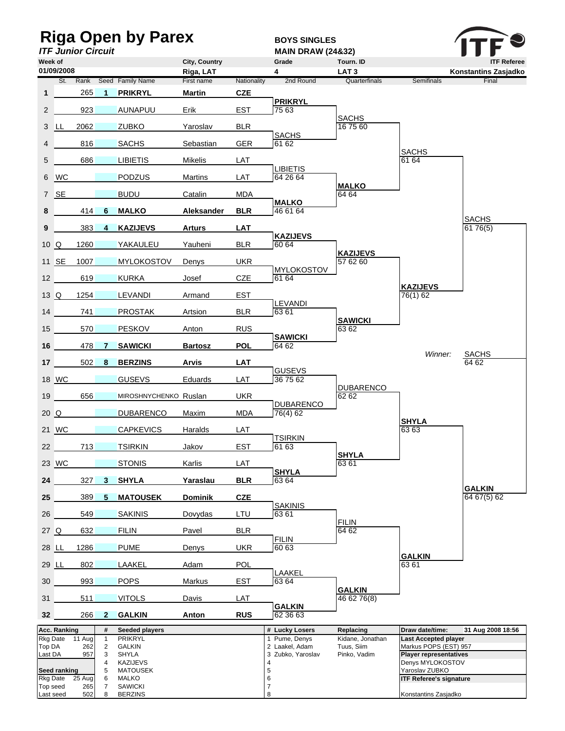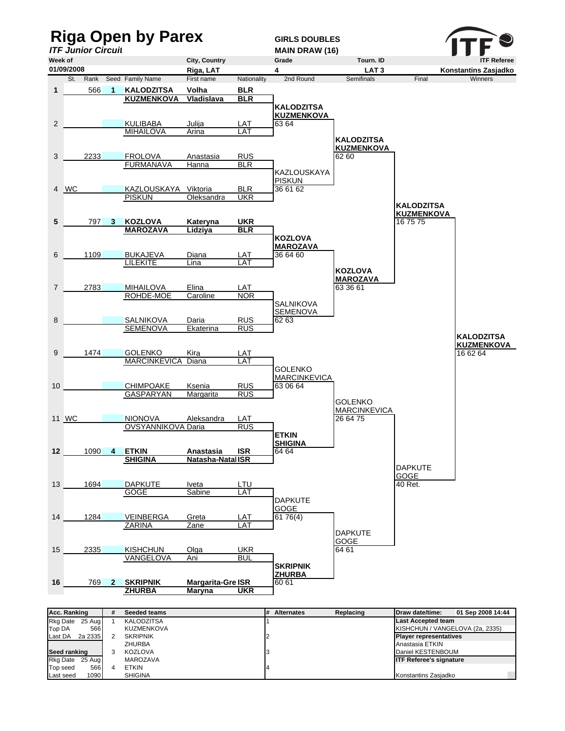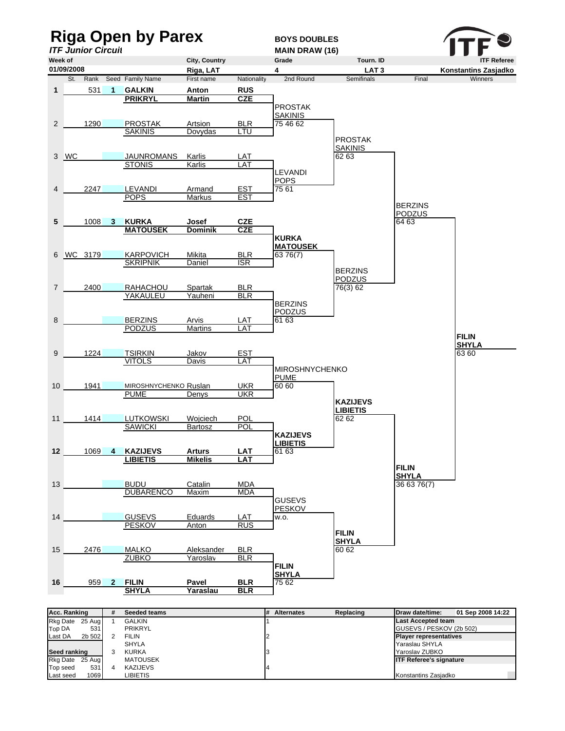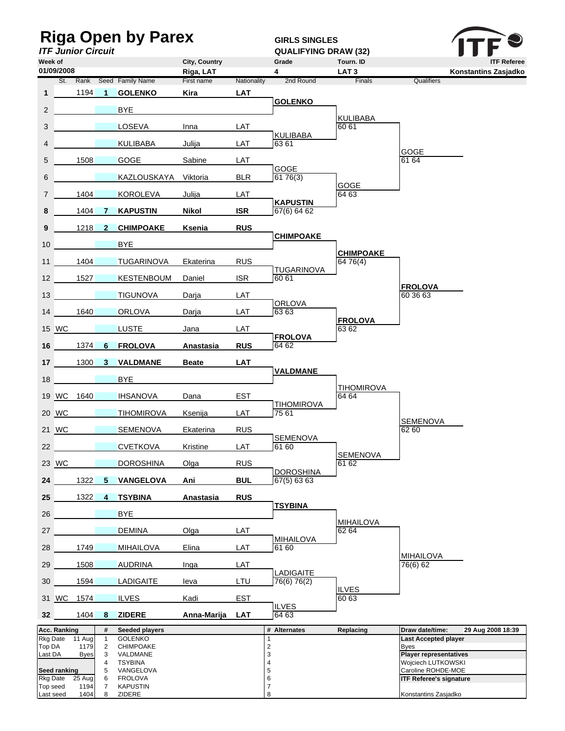| <b>Riga Open by Parex</b><br><b>ITF Junior Circuit</b> |                          |                     |                         |                                    |                    |                           | <b>GIRLS SINGLES</b><br><b>QUALIFYING DRAW (32)</b> |                            |                                                                     |
|--------------------------------------------------------|--------------------------|---------------------|-------------------------|------------------------------------|--------------------|---------------------------|-----------------------------------------------------|----------------------------|---------------------------------------------------------------------|
| Week of<br>City, Country                               |                          |                     |                         |                                    |                    |                           | Grade                                               | Tourn. ID                  | <b>ITF Referee</b>                                                  |
|                                                        | 01/09/2008               |                     |                         |                                    | Riga, LAT          |                           | 4                                                   | LAT <sub>3</sub>           | Konstantins Zasjadko                                                |
| 1                                                      |                          | St. Rank<br>1194    | $\blacktriangleleft$    | Seed Family Name<br><b>GOLENKO</b> | First name<br>Kira | Nationality<br><b>LAT</b> | 2nd Round                                           | Finals                     | Qualifiers                                                          |
|                                                        |                          |                     |                         |                                    |                    |                           | <b>GOLENKO</b>                                      |                            |                                                                     |
| $\overline{2}$                                         |                          |                     |                         | <b>BYE</b>                         |                    |                           |                                                     | KULIBABA                   |                                                                     |
| 3                                                      |                          |                     |                         | LOSEVA                             | Inna               | <b>LAT</b>                | <b>KULIBABA</b>                                     | 60 61                      |                                                                     |
| $\overline{4}$                                         |                          |                     |                         | <b>KULIBABA</b>                    | Julija             | LAT                       | 63 61                                               |                            | GOGE                                                                |
| 5                                                      |                          | 1508                |                         | GOGE                               | Sabine             | LAT                       | <b>GOGE</b>                                         |                            | 61 64                                                               |
| 6                                                      |                          |                     |                         | KAZLOUSKAYA Viktoria               |                    | <b>BLR</b>                | 6176(3)                                             | <b>GOGE</b>                |                                                                     |
| $\overline{7}$                                         |                          | 1404                |                         | <b>KOROLEVA</b>                    | Julija             | <b>LAT</b>                | <b>KAPUSTIN</b>                                     | 64 63                      |                                                                     |
| 8                                                      |                          | 1404                | 7                       | <b>KAPUSTIN</b>                    | Nikol              | <b>ISR</b>                | 67(6) 64 62                                         |                            |                                                                     |
| 9                                                      |                          | 1218                | $\overline{\mathbf{2}}$ | <b>CHIMPOAKE</b>                   | Ksenia             | <b>RUS</b>                | <b>CHIMPOAKE</b>                                    |                            |                                                                     |
| 10                                                     |                          |                     |                         | <b>BYE</b>                         |                    |                           |                                                     | <b>CHIMPOAKE</b>           |                                                                     |
| 11                                                     |                          | 1404                |                         | TUGARINOVA                         | Ekaterina          | <b>RUS</b>                | <b>TUGARINOVA</b>                                   | 64 76(4)                   |                                                                     |
| 12 <sup>2</sup>                                        |                          | 1527                |                         | KESTENBOUM                         | Daniel             | <b>ISR</b>                | 60 61                                               |                            |                                                                     |
| 13                                                     |                          |                     |                         | <b>TIGUNOVA</b>                    | Darja              | LAT                       |                                                     |                            | <b>FROLOVA</b><br>60 36 63                                          |
| 14                                                     |                          | 1640                |                         | <b>ORLOVA</b>                      | Darja              | LAT                       | ORLOVA<br>6363                                      |                            |                                                                     |
|                                                        | 15 WC                    |                     |                         | <b>LUSTE</b>                       | Jana               | LAT                       |                                                     | <b>FROLOVA</b><br>63 62    |                                                                     |
| 16                                                     |                          | 1374                | 6                       | <b>FROLOVA</b>                     | <b>Anastasia</b>   | <b>RUS</b>                | <b>FROLOVA</b><br>64 62                             |                            |                                                                     |
| 17 <sub>1</sub>                                        |                          | 1300                | 3 <sup>1</sup>          | <b>VALDMANE</b>                    | <b>Beate</b>       | <b>LAT</b>                |                                                     |                            |                                                                     |
| 18                                                     |                          |                     |                         | <b>BYE</b>                         |                    |                           | <b>VALDMANE</b>                                     |                            |                                                                     |
|                                                        |                          | 19 WC 1640          |                         | <b>IHSANOVA</b>                    | Dana               | <b>EST</b>                |                                                     | <b>TIHOMIROVA</b><br>64 64 |                                                                     |
|                                                        | 20 WC                    |                     |                         | <b>TIHOMIROVA</b>                  | Ksenija            | <b>LAT</b>                | <b>TIHOMIROVA</b><br>75 61                          |                            |                                                                     |
|                                                        | 21 WC                    |                     |                         | <b>SEMENOVA</b>                    | Ekaterina          | <b>RUS</b>                |                                                     |                            | <b>SEMENOVA</b><br>62 60                                            |
| $22 \overline{)}$                                      |                          |                     |                         | <b>CVETKOVA</b>                    | Kristine           | <b>LAT</b>                | SEMENOVA<br>61 60                                   |                            |                                                                     |
|                                                        | 23 WC                    |                     |                         | <b>DOROSHINA</b>                   | Olga               | <b>RUS</b>                |                                                     | <b>SEMENOVA</b><br>61 62   |                                                                     |
| 24                                                     |                          | 1322                |                         | 5 VANGELOVA                        | Ani                | <b>BUL</b>                | <b>DOROSHINA</b><br>67(5) 6363                      |                            |                                                                     |
| 25 <sub>2</sub>                                        |                          | 1322                | $\overline{4}$          | <b>TSYBINA</b>                     | <b>Anastasia</b>   | <b>RUS</b>                |                                                     |                            |                                                                     |
| 26                                                     |                          |                     |                         | <b>BYE</b>                         |                    |                           | <b>TSYBINA</b>                                      |                            |                                                                     |
| 27                                                     |                          |                     |                         | <b>DEMINA</b>                      | Olga               | <b>LAT</b>                |                                                     | <b>MIHAILOVA</b><br>62 64  |                                                                     |
|                                                        |                          |                     |                         |                                    |                    |                           | <b>MIHAILOVA</b><br>61 60                           |                            |                                                                     |
| 28                                                     |                          | 1749                |                         | <b>MIHAILOVA</b>                   | Elina              | LAT                       |                                                     |                            | <b>MIHAILOVA</b>                                                    |
| 29                                                     |                          | 1508                |                         | <b>AUDRINA</b>                     | Inga               | LAT                       | <b>LADIGAITE</b>                                    |                            | 76(6) 62                                                            |
| 30 <sup>°</sup>                                        |                          | 1594                |                         | <b>LADIGAITE</b>                   | leva               | LTU                       | 76(6) 76(2)                                         | <b>ILVES</b>               |                                                                     |
|                                                        | 31 WC                    | 1574                |                         | <b>ILVES</b>                       | Kadi               | <b>EST</b>                | <b>ILVES</b>                                        | 60 63                      |                                                                     |
| 32 <sup>2</sup>                                        |                          | 1404 8              |                         | <b>ZIDERE</b>                      | <u>Anna-Marija</u> | <b>LAT</b>                | 64 63                                               |                            |                                                                     |
|                                                        | Acc. Ranking<br>Rkg Date | $11$ Aug            | #<br>$\mathbf{1}$       | Seeded players<br><b>GOLENKO</b>   |                    |                           | # Alternates<br>1                                   | Replacing                  | Draw date/time:<br>29 Aug 2008 18:39<br><b>Last Accepted player</b> |
| Top DA<br>Last DA                                      |                          | 1179<br><b>Byes</b> | $\overline{2}$<br>3     | CHIMPOAKE<br>VALDMANE              |                    |                           | $\overline{c}$<br>3                                 |                            | Byes<br><b>Player representatives</b>                               |
|                                                        |                          |                     | 4                       | <b>TSYBINA</b>                     |                    |                           | 4                                                   |                            | Wojciech LUTKOWSKI                                                  |
|                                                        | Seed ranking<br>Rkg Date | 25 Aug              | 5<br>6                  | VANGELOVA<br><b>FROLOVA</b>        |                    |                           | 5<br>6                                              |                            | Caroline ROHDE-MOE<br><b>ITF Referee's signature</b>                |
|                                                        | Top seed                 | 1194                | 7                       | <b>KAPUSTIN</b>                    |                    |                           | 7                                                   |                            |                                                                     |
| Last seed                                              |                          | 1404                | 8                       | ZIDERE                             |                    |                           | 8                                                   |                            | Konstantins Zasjadko                                                |